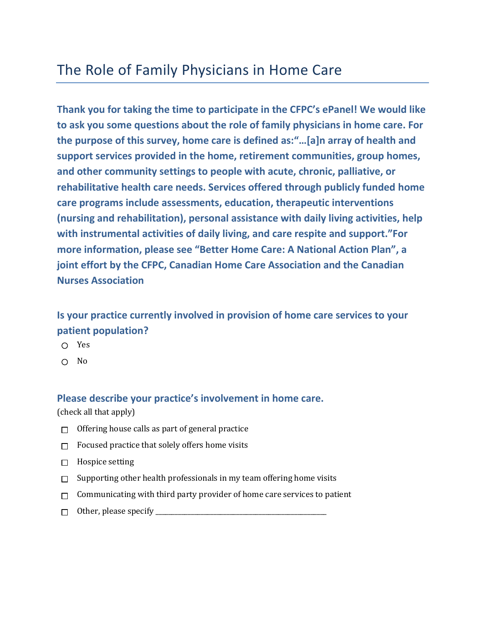# The Role of Family Physicians in Home Care

**Thank you for taking the time to participate in the CFPC's ePanel! We would like to ask you some questions about the role of family physicians in home care. For the purpose of this survey, home care is defined as:"…[a]n array of health and support services provided in the home, retirement communities, group homes, and other community settings to people with acute, chronic, palliative, or rehabilitative health care needs. Services offered through publicly funded home care programs include assessments, education, therapeutic interventions (nursing and rehabilitation), personal assistance with daily living activities, help with instrumental activities of daily living, and care respite and support."For more information, please see "Better Home Care: A National Action Plan", a joint effort by the CFPC, Canadian Home Care Association and the Canadian Nurses Association**

# **Is your practice currently involved in provision of home care services to your patient population?**

- Yes
- No

#### **Please describe your practice's involvement in home care.**

(check all that apply)

- Offering house calls as part of general practice  $\Box$
- $\Box$  Focused practice that solely offers home visits
- $\Box$  Hospice setting
- Supporting other health professionals in my team offering home visits  $\Box$
- Communicating with third party provider of home care services to patient  $\Box$
- Other, please specify \_\_\_\_\_\_\_\_\_\_\_\_\_\_\_\_\_\_\_\_\_\_\_\_\_\_\_\_\_\_\_\_\_\_\_\_\_\_\_\_\_\_\_\_\_\_\_\_\_\_\_\_\_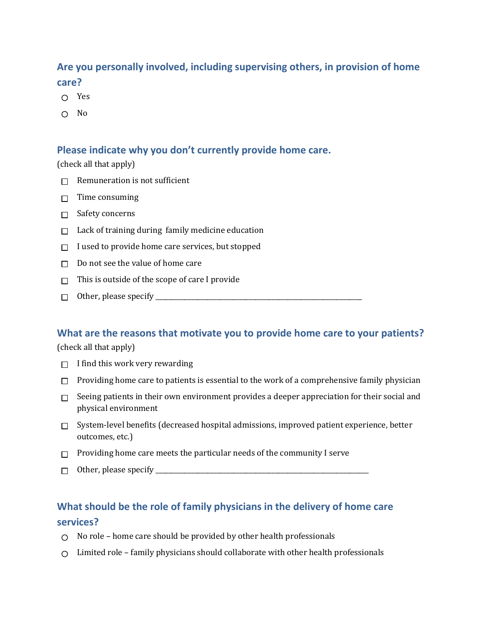## **Are you personally involved, including supervising others, in provision of home care?**

- ∩ Yes
- $\bigcap$  No

#### **Please indicate why you don't currently provide home care.**

(check all that apply)

- $\Box$  Remuneration is not sufficient
- $\Box$  Time consuming
- $\Box$  Safety concerns
- $\Box$  Lack of training during family medicine education
- $\Box$  I used to provide home care services, but stopped
- $\Box$  Do not see the value of home care
- $\Box$  This is outside of the scope of care I provide
- Other, please specify \_\_\_\_\_\_\_\_\_\_\_\_\_\_\_\_\_\_\_\_\_\_\_\_\_\_\_\_\_\_\_\_\_\_\_\_\_\_\_\_\_\_\_\_\_\_\_\_\_\_\_\_\_\_\_\_\_\_\_\_\_\_\_\_

#### **What are the reasons that motivate you to provide home care to your patients?**

(check all that apply)

- $\Box$  I find this work very rewarding
- $\Box$  Providing home care to patients is essential to the work of a comprehensive family physician
- $\Box$  Seeing patients in their own environment provides a deeper appreciation for their social and physical environment
- $\Box$  System-level benefits (decreased hospital admissions, improved patient experience, better outcomes, etc.)
- $\Box$  Providing home care meets the particular needs of the community I serve
- Other, please specify \_\_\_\_\_\_\_\_\_\_\_\_\_\_\_\_\_\_\_\_\_\_\_\_\_\_\_\_\_\_\_\_\_\_\_\_\_\_\_\_\_\_\_\_\_\_\_\_\_\_\_\_\_\_\_\_\_\_\_\_\_\_\_\_\_\_

## **What should be the role of family physicians in the delivery of home care services?**

- $\bigcirc$  No role home care should be provided by other health professionals
- $\circ$  Limited role family physicians should collaborate with other health professionals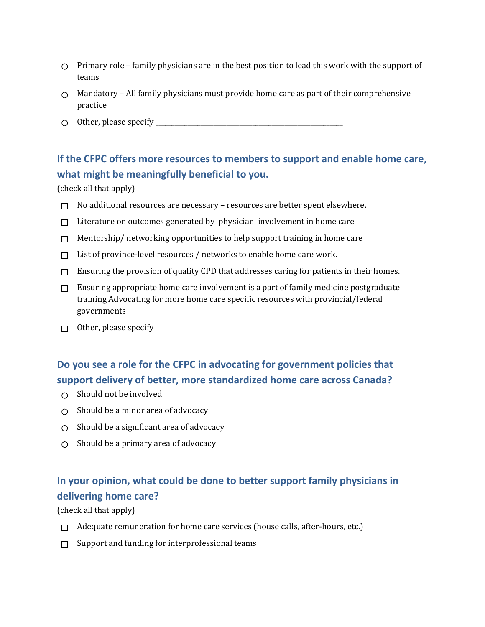- $\circ$  Primary role family physicians are in the best position to lead this work with the support of teams
- $\circ$  Mandatory All family physicians must provide home care as part of their comprehensive practice
- Other, please specify \_\_\_\_\_\_\_\_\_\_\_\_\_\_\_\_\_\_\_\_\_\_\_\_\_\_\_\_\_\_\_\_\_\_\_\_\_\_\_\_\_\_\_\_\_\_\_\_\_\_\_\_\_\_\_\_\_\_

# **If the CFPC offers more resources to members to support and enable home care, what might be meaningfully beneficial to you.**

(check all that apply)

- $\Box$  No additional resources are necessary resources are better spent elsewhere.
- $\Box$  Literature on outcomes generated by physician involvement in home care
- $\Box$  Mentorship/ networking opportunities to help support training in home care
- $\Box$  List of province-level resources / networks to enable home care work.
- $\Box$  Ensuring the provision of quality CPD that addresses caring for patients in their homes.
- $\Box$  Ensuring appropriate home care involvement is a part of family medicine postgraduate training Advocating for more home care specific resources with provincial/federal governments
- $\Box$  Other, please specify  $\Box$

## **Do you see a role for the CFPC in advocating for government policies that support delivery of better, more standardized home care across Canada?**

- $\bigcap$  Should not be involved
- $\bigcirc$  Should be a minor area of advocacy
- $\bigcirc$  Should be a significant area of advocacy
- $\circ$  Should be a primary area of advocacy

# **In your opinion, what could be done to better support family physicians in delivering home care?**

(check all that apply)

- $\Box$  Adequate remuneration for home care services (house calls, after-hours, etc.)
- $\Box$  Support and funding for interprofessional teams